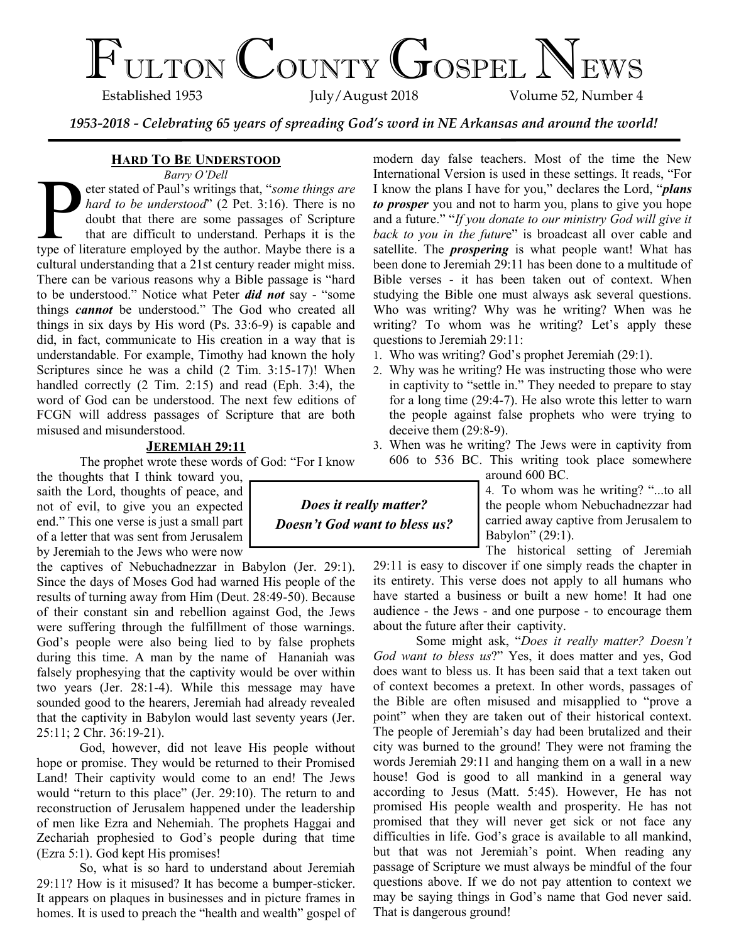# $\Gamma_{\text{ULTON}}$  COUNTY GOSPEL NEWS

Volume 52, Number 4

*1953-2018 - Celebrating 65 years of spreading God's word in NE Arkansas and around the world!*

### **HARD TO BE UNDERSTOOD**

*Barry O'Dell*

Barry O'Dell<br>
by the stated of Paul's writings that, "some things are<br>
hard to be understood" (2 Pet. 3:16). There is no<br>
doubt that there are some passages of Scripture<br>
that are difficult to understand. Perhaps it is the eter stated of Paul's writings that, "*some things are hard to be understood*" (2 Pet. 3:16). There is no doubt that there are some passages of Scripture that are difficult to understand. Perhaps it is the cultural understanding that a 21st century reader might miss. There can be various reasons why a Bible passage is "hard to be understood." Notice what Peter *did not* say - "some things *cannot* be understood." The God who created all things in six days by His word (Ps. 33:6-9) is capable and did, in fact, communicate to His creation in a way that is understandable. For example, Timothy had known the holy Scriptures since he was a child (2 Tim. 3:15-17)! When handled correctly (2 Tim. 2:15) and read (Eph. 3:4), the word of God can be understood. The next few editions of FCGN will address passages of Scripture that are both misused and misunderstood.

#### **JEREMIAH 29:11**

The prophet wrote these words of God: "For I know

the thoughts that I think toward you, saith the Lord, thoughts of peace, and not of evil, to give you an expected end." This one verse is just a small part of a letter that was sent from Jerusalem by Jeremiah to the Jews who were now

the captives of Nebuchadnezzar in Babylon (Jer. 29:1). Since the days of Moses God had warned His people of the results of turning away from Him (Deut. 28:49-50). Because of their constant sin and rebellion against God, the Jews were suffering through the fulfillment of those warnings. God's people were also being lied to by false prophets during this time. A man by the name of Hananiah was falsely prophesying that the captivity would be over within two years (Jer. 28:1-4). While this message may have sounded good to the hearers, Jeremiah had already revealed that the captivity in Babylon would last seventy years (Jer. 25:11; 2 Chr. 36:19-21).

God, however, did not leave His people without hope or promise. They would be returned to their Promised Land! Their captivity would come to an end! The Jews would "return to this place" (Jer. 29:10). The return to and reconstruction of Jerusalem happened under the leadership of men like Ezra and Nehemiah. The prophets Haggai and Zechariah prophesied to God's people during that time (Ezra 5:1). God kept His promises!

So, what is so hard to understand about Jeremiah 29:11? How is it misused? It has become a bumper-sticker. It appears on plaques in businesses and in picture frames in homes. It is used to preach the "health and wealth" gospel of

modern day false teachers. Most of the time the New International Version is used in these settings. It reads, "For I know the plans I have for you," declares the Lord, "*plans to prosper* you and not to harm you, plans to give you hope and a future." "*If you donate to our ministry God will give it back to you in the futur*e" is broadcast all over cable and satellite. The *prospering* is what people want! What has been done to Jeremiah 29:11 has been done to a multitude of Bible verses - it has been taken out of context. When studying the Bible one must always ask several questions. Who was writing? Why was he writing? When was he writing? To whom was he writing? Let's apply these questions to Jeremiah 29:11:

- Who was writing? God's prophet Jeremiah (29:1).
- Why was he writing? He was instructing those who were in captivity to "settle in." They needed to prepare to stay for a long time (29:4-7). He also wrote this letter to warn the people against false prophets who were trying to deceive them (29:8-9).
- When was he writing? The Jews were in captivity from 606 to 536 BC. This writing took place somewhere

around 600 BC.

4. To whom was he writing? "...to all the people whom Nebuchadnezzar had carried away captive from Jerusalem to Babylon" (29:1).

The historical setting of Jeremiah 29:11 is easy to discover if one simply reads the chapter in its entirety. This verse does not apply to all humans who have started a business or built a new home! It had one audience - the Jews - and one purpose - to encourage them about the future after their captivity.

Some might ask, "*Does it really matter? Doesn't God want to bless us*?" Yes, it does matter and yes, God does want to bless us. It has been said that a text taken out of context becomes a pretext. In other words, passages of the Bible are often misused and misapplied to "prove a point" when they are taken out of their historical context. The people of Jeremiah's day had been brutalized and their city was burned to the ground! They were not framing the words Jeremiah 29:11 and hanging them on a wall in a new house! God is good to all mankind in a general way according to Jesus (Matt. 5:45). However, He has not promised His people wealth and prosperity. He has not promised that they will never get sick or not face any difficulties in life. God's grace is available to all mankind, but that was not Jeremiah's point. When reading any passage of Scripture we must always be mindful of the four questions above. If we do not pay attention to context we may be saying things in God's name that God never said. That is dangerous ground!

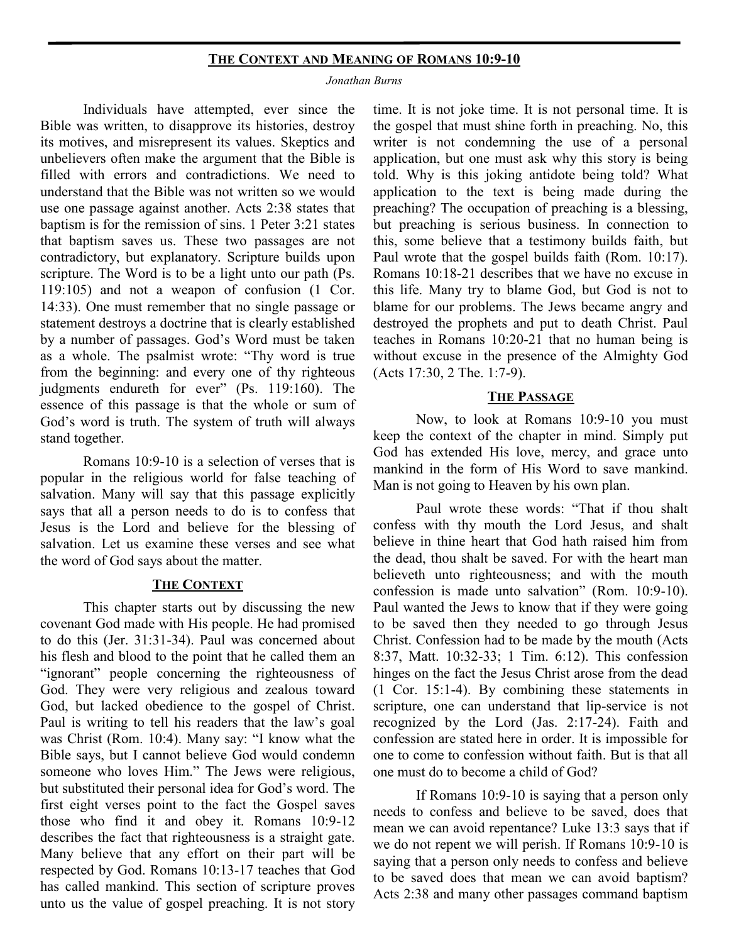#### **THE CONTEXT AND MEANING OF ROMANS 10:9-10**

#### *Jonathan Burns*

Individuals have attempted, ever since the Bible was written, to disapprove its histories, destroy its motives, and misrepresent its values. Skeptics and unbelievers often make the argument that the Bible is filled with errors and contradictions. We need to understand that the Bible was not written so we would use one passage against another. Acts 2:38 states that baptism is for the remission of sins. 1 Peter 3:21 states that baptism saves us. These two passages are not contradictory, but explanatory. Scripture builds upon scripture. The Word is to be a light unto our path (Ps. 119:105) and not a weapon of confusion (1 Cor. 14:33). One must remember that no single passage or statement destroys a doctrine that is clearly established by a number of passages. God's Word must be taken as a whole. The psalmist wrote: "Thy word is true from the beginning: and every one of thy righteous judgments endureth for ever" (Ps. 119:160). The essence of this passage is that the whole or sum of God's word is truth. The system of truth will always stand together.

Romans 10:9-10 is a selection of verses that is popular in the religious world for false teaching of salvation. Many will say that this passage explicitly says that all a person needs to do is to confess that Jesus is the Lord and believe for the blessing of salvation. Let us examine these verses and see what the word of God says about the matter.

#### **THE CONTEXT**

This chapter starts out by discussing the new covenant God made with His people. He had promised to do this (Jer. 31:31-34). Paul was concerned about his flesh and blood to the point that he called them an "ignorant" people concerning the righteousness of God. They were very religious and zealous toward God, but lacked obedience to the gospel of Christ. Paul is writing to tell his readers that the law's goal was Christ (Rom. 10:4). Many say: "I know what the Bible says, but I cannot believe God would condemn someone who loves Him." The Jews were religious, but substituted their personal idea for God's word. The first eight verses point to the fact the Gospel saves those who find it and obey it. Romans 10:9-12 describes the fact that righteousness is a straight gate. Many believe that any effort on their part will be respected by God. Romans 10:13-17 teaches that God has called mankind. This section of scripture proves unto us the value of gospel preaching. It is not story time. It is not joke time. It is not personal time. It is the gospel that must shine forth in preaching. No, this writer is not condemning the use of a personal application, but one must ask why this story is being told. Why is this joking antidote being told? What application to the text is being made during the preaching? The occupation of preaching is a blessing, but preaching is serious business. In connection to this, some believe that a testimony builds faith, but Paul wrote that the gospel builds faith (Rom. 10:17). Romans 10:18-21 describes that we have no excuse in this life. Many try to blame God, but God is not to blame for our problems. The Jews became angry and destroyed the prophets and put to death Christ. Paul teaches in Romans 10:20-21 that no human being is without excuse in the presence of the Almighty God (Acts 17:30, 2 The. 1:7-9).

### **THE PASSAGE**

Now, to look at Romans 10:9-10 you must keep the context of the chapter in mind. Simply put God has extended His love, mercy, and grace unto mankind in the form of His Word to save mankind. Man is not going to Heaven by his own plan.

Paul wrote these words: "That if thou shalt confess with thy mouth the Lord Jesus, and shalt believe in thine heart that God hath raised him from the dead, thou shalt be saved. For with the heart man believeth unto righteousness; and with the mouth confession is made unto salvation" (Rom. 10:9-10). Paul wanted the Jews to know that if they were going to be saved then they needed to go through Jesus Christ. Confession had to be made by the mouth (Acts 8:37, Matt. 10:32-33; 1 Tim. 6:12). This confession hinges on the fact the Jesus Christ arose from the dead (1 Cor. 15:1-4). By combining these statements in scripture, one can understand that lip-service is not recognized by the Lord (Jas. 2:17-24). Faith and confession are stated here in order. It is impossible for one to come to confession without faith. But is that all one must do to become a child of God?

If Romans 10:9-10 is saying that a person only needs to confess and believe to be saved, does that mean we can avoid repentance? Luke 13:3 says that if we do not repent we will perish. If Romans 10:9-10 is saying that a person only needs to confess and believe to be saved does that mean we can avoid baptism? Acts 2:38 and many other passages command baptism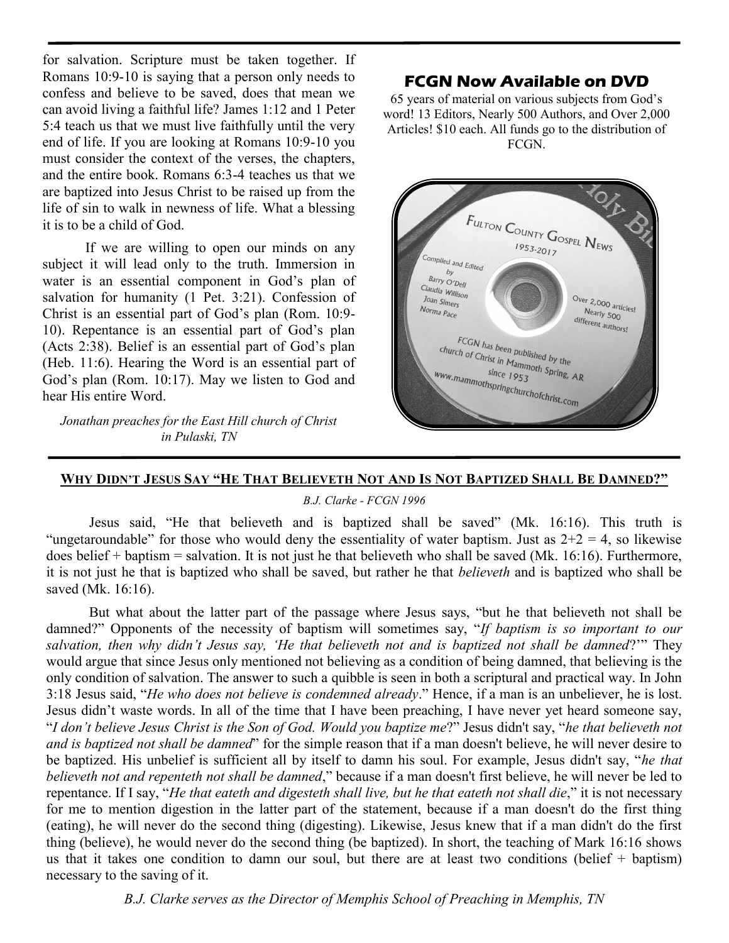for salvation. Scripture must be taken together. If Romans 10:9-10 is saying that a person only needs to confess and believe to be saved, does that mean we can avoid living a faithful life? James 1:12 and 1 Peter 5:4 teach us that we must live faithfully until the very end of life. If you are looking at Romans 10:9-10 you must consider the context of the verses, the chapters, and the entire book. Romans 6:3-4 teaches us that we are baptized into Jesus Christ to be raised up from the life of sin to walk in newness of life. What a blessing it is to be a child of God.

If we are willing to open our minds on any subject it will lead only to the truth. Immersion in water is an essential component in God's plan of salvation for humanity (1 Pet. 3:21). Confession of Christ is an essential part of God's plan (Rom. 10:9- 10). Repentance is an essential part of God's plan (Acts 2:38). Belief is an essential part of God's plan (Heb. 11:6). Hearing the Word is an essential part of God's plan (Rom. 10:17). May we listen to God and hear His entire Word.

*Jonathan preaches for the East Hill church of Christ in Pulaski, TN*

## **FCGN Now Available on DVD**

65 years of material on various subjects from God's word! 13 Editors, Nearly 500 Authors, and Over 2,000 Articles! \$10 each. All funds go to the distribution of FCGN.



## WHY DIDN'T JESUS SAY "HE THAT BELIEVETH NOT AND IS NOT BAPTIZED SHALL BE DAMNED?"

#### *B.J. Clarke - FCGN 1996*

Jesus said, "He that believeth and is baptized shall be saved" (Mk. 16:16). This truth is "ungetaroundable" for those who would deny the essentiality of water baptism. Just as  $2+2 = 4$ , so likewise does belief + baptism = salvation. It is not just he that believeth who shall be saved (Mk. 16:16). Furthermore, it is not just he that is baptized who shall be saved, but rather he that *believeth* and is baptized who shall be saved (Mk. 16:16).

But what about the latter part of the passage where Jesus says, "but he that believeth not shall be damned?" Opponents of the necessity of baptism will sometimes say, "*If baptism is so important to our salvation, then why didn't Jesus say, 'He that believeth not and is baptized not shall be damned*?'" They would argue that since Jesus only mentioned not believing as a condition of being damned, that believing is the only condition of salvation. The answer to such a quibble is seen in both a scriptural and practical way. In John 3:18 Jesus said, "*He who does not believe is condemned already*." Hence, if a man is an unbeliever, he is lost. Jesus didn't waste words. In all of the time that I have been preaching, I have never yet heard someone say, "*I don't believe Jesus Christ is the Son of God. Would you baptize me*?" Jesus didn't say, "*he that believeth not and is baptized not shall be damned*" for the simple reason that if a man doesn't believe, he will never desire to be baptized. His unbelief is sufficient all by itself to damn his soul. For example, Jesus didn't say, "*he that believeth not and repenteth not shall be damned*," because if a man doesn't first believe, he will never be led to repentance. If I say, "*He that eateth and digesteth shall live, but he that eateth not shall die*," it is not necessary for me to mention digestion in the latter part of the statement, because if a man doesn't do the first thing (eating), he will never do the second thing (digesting). Likewise, Jesus knew that if a man didn't do the first thing (believe), he would never do the second thing (be baptized). In short, the teaching of Mark 16:16 shows us that it takes one condition to damn our soul, but there are at least two conditions (belief + baptism) necessary to the saving of it.

*B.J. Clarke serves as the Director of Memphis School of Preaching in Memphis, TN*